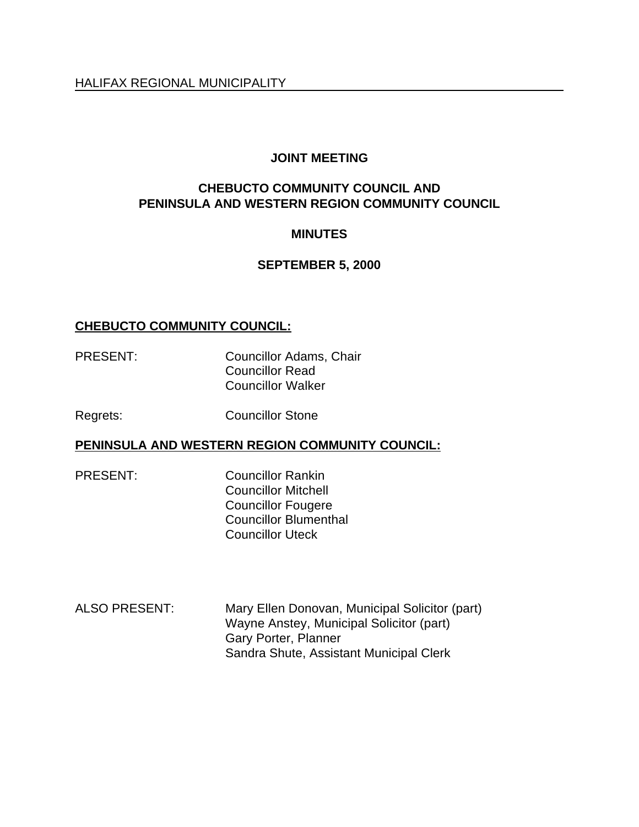# **JOINT MEETING**

# **CHEBUCTO COMMUNITY COUNCIL AND PENINSULA AND WESTERN REGION COMMUNITY COUNCIL**

# **MINUTES**

# **SEPTEMBER 5, 2000**

# **CHEBUCTO COMMUNITY COUNCIL:**

PRESENT: Councillor Adams, Chair Councillor Read Councillor Walker

Regrets: Councillor Stone

### **PENINSULA AND WESTERN REGION COMMUNITY COUNCIL:**

PRESENT: Councillor Rankin Councillor Mitchell Councillor Fougere Councillor Blumenthal Councillor Uteck

ALSO PRESENT: Mary Ellen Donovan, Municipal Solicitor (part) Wayne Anstey, Municipal Solicitor (part) Gary Porter, Planner Sandra Shute, Assistant Municipal Clerk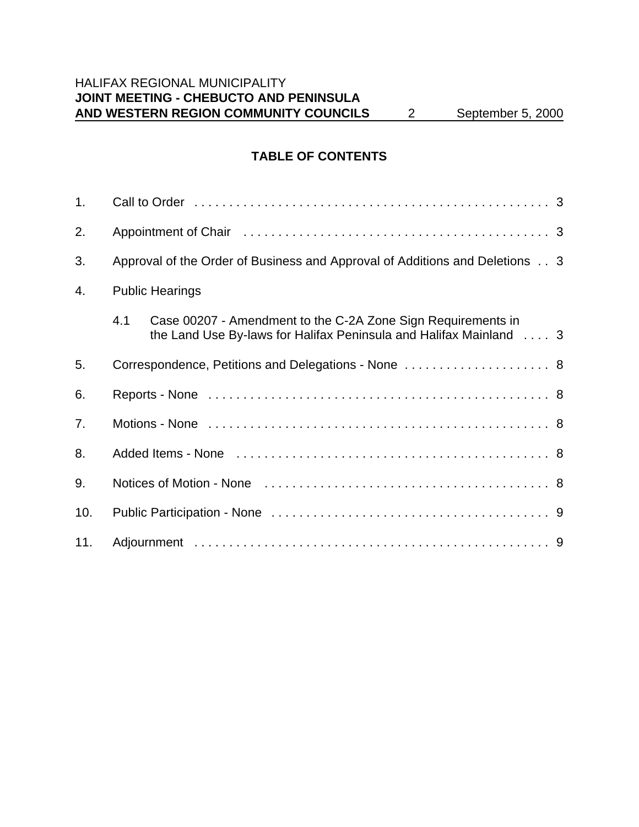# HALIFAX REGIONAL MUNICIPALITY **JOINT MEETING - CHEBUCTO AND PENINSULA AND WESTERN REGION COMMUNITY COUNCILS** 2 September 5, 2000

# **TABLE OF CONTENTS**

| 1.  |                                                                                                                                           |  |
|-----|-------------------------------------------------------------------------------------------------------------------------------------------|--|
| 2.  |                                                                                                                                           |  |
| 3.  | Approval of the Order of Business and Approval of Additions and Deletions 3                                                               |  |
| 4.  | <b>Public Hearings</b>                                                                                                                    |  |
|     | 4.1<br>Case 00207 - Amendment to the C-2A Zone Sign Requirements in<br>the Land Use By-laws for Halifax Peninsula and Halifax Mainland  3 |  |
| 5.  | Correspondence, Petitions and Delegations - None  8                                                                                       |  |
| 6.  |                                                                                                                                           |  |
| 7.  |                                                                                                                                           |  |
| 8.  |                                                                                                                                           |  |
| 9.  |                                                                                                                                           |  |
| 10. |                                                                                                                                           |  |
| 11. |                                                                                                                                           |  |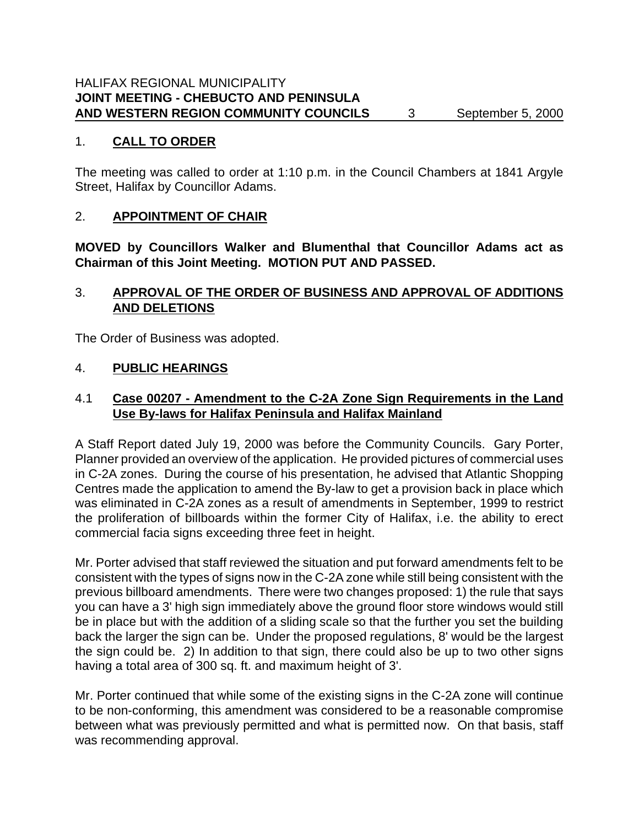### 1. **CALL TO ORDER**

The meeting was called to order at 1:10 p.m. in the Council Chambers at 1841 Argyle Street, Halifax by Councillor Adams.

# 2. **APPOINTMENT OF CHAIR**

**MOVED by Councillors Walker and Blumenthal that Councillor Adams act as Chairman of this Joint Meeting. MOTION PUT AND PASSED.**

# 3. **APPROVAL OF THE ORDER OF BUSINESS AND APPROVAL OF ADDITIONS AND DELETIONS**

The Order of Business was adopted.

# 4. **PUBLIC HEARINGS**

# 4.1 **Case 00207 - Amendment to the C-2A Zone Sign Requirements in the Land Use By-laws for Halifax Peninsula and Halifax Mainland**

A Staff Report dated July 19, 2000 was before the Community Councils. Gary Porter, Planner provided an overview of the application. He provided pictures of commercial uses in C-2A zones. During the course of his presentation, he advised that Atlantic Shopping Centres made the application to amend the By-law to get a provision back in place which was eliminated in C-2A zones as a result of amendments in September, 1999 to restrict the proliferation of billboards within the former City of Halifax, i.e. the ability to erect commercial facia signs exceeding three feet in height.

Mr. Porter advised that staff reviewed the situation and put forward amendments felt to be consistent with the types of signs now in the C-2A zone while still being consistent with the previous billboard amendments. There were two changes proposed: 1) the rule that says you can have a 3' high sign immediately above the ground floor store windows would still be in place but with the addition of a sliding scale so that the further you set the building back the larger the sign can be. Under the proposed regulations, 8' would be the largest the sign could be. 2) In addition to that sign, there could also be up to two other signs having a total area of 300 sq. ft. and maximum height of 3'.

Mr. Porter continued that while some of the existing signs in the C-2A zone will continue to be non-conforming, this amendment was considered to be a reasonable compromise between what was previously permitted and what is permitted now. On that basis, staff was recommending approval.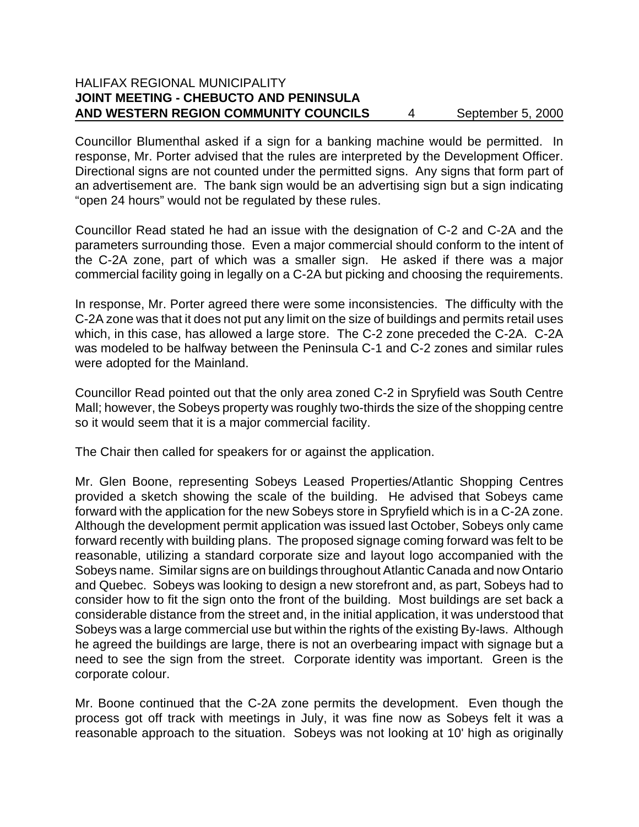### HALIFAX REGIONAL MUNICIPALITY **JOINT MEETING - CHEBUCTO AND PENINSULA AND WESTERN REGION COMMUNITY COUNCILS** 4 September 5, 2000

Councillor Blumenthal asked if a sign for a banking machine would be permitted. In response, Mr. Porter advised that the rules are interpreted by the Development Officer. Directional signs are not counted under the permitted signs. Any signs that form part of an advertisement are. The bank sign would be an advertising sign but a sign indicating "open 24 hours" would not be regulated by these rules.

Councillor Read stated he had an issue with the designation of C-2 and C-2A and the parameters surrounding those. Even a major commercial should conform to the intent of the C-2A zone, part of which was a smaller sign. He asked if there was a major commercial facility going in legally on a C-2A but picking and choosing the requirements.

In response, Mr. Porter agreed there were some inconsistencies. The difficulty with the C-2A zone was that it does not put any limit on the size of buildings and permits retail uses which, in this case, has allowed a large store. The C-2 zone preceded the C-2A. C-2A was modeled to be halfway between the Peninsula C-1 and C-2 zones and similar rules were adopted for the Mainland.

Councillor Read pointed out that the only area zoned C-2 in Spryfield was South Centre Mall; however, the Sobeys property was roughly two-thirds the size of the shopping centre so it would seem that it is a major commercial facility.

The Chair then called for speakers for or against the application.

Mr. Glen Boone, representing Sobeys Leased Properties/Atlantic Shopping Centres provided a sketch showing the scale of the building. He advised that Sobeys came forward with the application for the new Sobeys store in Spryfield which is in a C-2A zone. Although the development permit application was issued last October, Sobeys only came forward recently with building plans. The proposed signage coming forward was felt to be reasonable, utilizing a standard corporate size and layout logo accompanied with the Sobeys name. Similar signs are on buildings throughout Atlantic Canada and now Ontario and Quebec. Sobeys was looking to design a new storefront and, as part, Sobeys had to consider how to fit the sign onto the front of the building. Most buildings are set back a considerable distance from the street and, in the initial application, it was understood that Sobeys was a large commercial use but within the rights of the existing By-laws. Although he agreed the buildings are large, there is not an overbearing impact with signage but a need to see the sign from the street. Corporate identity was important. Green is the corporate colour.

Mr. Boone continued that the C-2A zone permits the development. Even though the process got off track with meetings in July, it was fine now as Sobeys felt it was a reasonable approach to the situation. Sobeys was not looking at 10' high as originally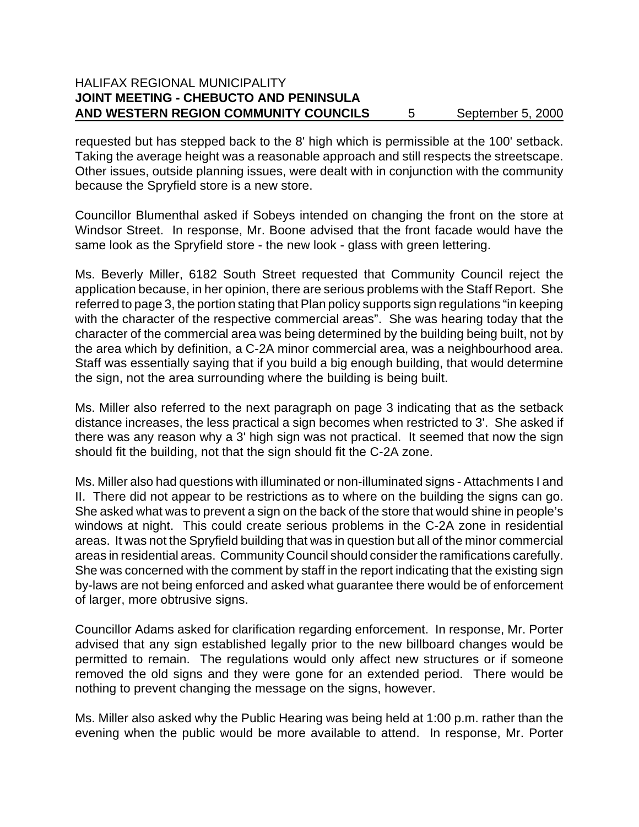### HALIFAX REGIONAL MUNICIPALITY **JOINT MEETING - CHEBUCTO AND PENINSULA** AND WESTERN REGION COMMUNITY COUNCILS 5 September 5, 2000

requested but has stepped back to the 8' high which is permissible at the 100' setback. Taking the average height was a reasonable approach and still respects the streetscape. Other issues, outside planning issues, were dealt with in conjunction with the community because the Spryfield store is a new store.

Councillor Blumenthal asked if Sobeys intended on changing the front on the store at Windsor Street. In response, Mr. Boone advised that the front facade would have the same look as the Spryfield store - the new look - glass with green lettering.

Ms. Beverly Miller, 6182 South Street requested that Community Council reject the application because, in her opinion, there are serious problems with the Staff Report. She referred to page 3, the portion stating that Plan policy supports sign regulations "in keeping with the character of the respective commercial areas". She was hearing today that the character of the commercial area was being determined by the building being built, not by the area which by definition, a C-2A minor commercial area, was a neighbourhood area. Staff was essentially saying that if you build a big enough building, that would determine the sign, not the area surrounding where the building is being built.

Ms. Miller also referred to the next paragraph on page 3 indicating that as the setback distance increases, the less practical a sign becomes when restricted to 3'. She asked if there was any reason why a 3' high sign was not practical. It seemed that now the sign should fit the building, not that the sign should fit the C-2A zone.

Ms. Miller also had questions with illuminated or non-illuminated signs - Attachments I and II. There did not appear to be restrictions as to where on the building the signs can go. She asked what was to prevent a sign on the back of the store that would shine in people's windows at night. This could create serious problems in the C-2A zone in residential areas. It was not the Spryfield building that was in question but all of the minor commercial areas in residential areas. Community Council should consider the ramifications carefully. She was concerned with the comment by staff in the report indicating that the existing sign by-laws are not being enforced and asked what guarantee there would be of enforcement of larger, more obtrusive signs.

Councillor Adams asked for clarification regarding enforcement. In response, Mr. Porter advised that any sign established legally prior to the new billboard changes would be permitted to remain. The regulations would only affect new structures or if someone removed the old signs and they were gone for an extended period. There would be nothing to prevent changing the message on the signs, however.

Ms. Miller also asked why the Public Hearing was being held at 1:00 p.m. rather than the evening when the public would be more available to attend. In response, Mr. Porter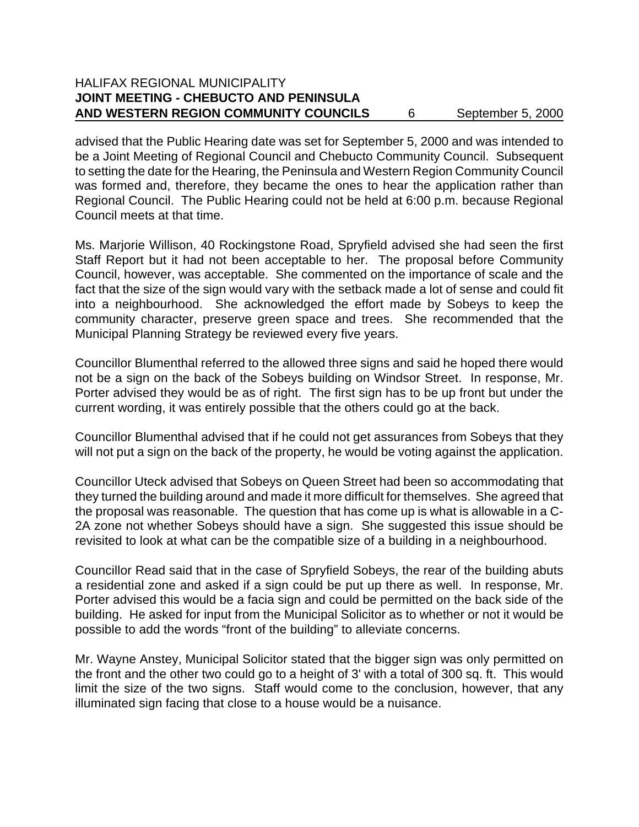### HALIFAX REGIONAL MUNICIPALITY **JOINT MEETING - CHEBUCTO AND PENINSULA** AND WESTERN REGION COMMUNITY COUNCILS 6 September 5, 2000

advised that the Public Hearing date was set for September 5, 2000 and was intended to be a Joint Meeting of Regional Council and Chebucto Community Council. Subsequent to setting the date for the Hearing, the Peninsula and Western Region Community Council was formed and, therefore, they became the ones to hear the application rather than Regional Council. The Public Hearing could not be held at 6:00 p.m. because Regional Council meets at that time.

Ms. Marjorie Willison, 40 Rockingstone Road, Spryfield advised she had seen the first Staff Report but it had not been acceptable to her. The proposal before Community Council, however, was acceptable. She commented on the importance of scale and the fact that the size of the sign would vary with the setback made a lot of sense and could fit into a neighbourhood. She acknowledged the effort made by Sobeys to keep the community character, preserve green space and trees. She recommended that the Municipal Planning Strategy be reviewed every five years.

Councillor Blumenthal referred to the allowed three signs and said he hoped there would not be a sign on the back of the Sobeys building on Windsor Street. In response, Mr. Porter advised they would be as of right. The first sign has to be up front but under the current wording, it was entirely possible that the others could go at the back.

Councillor Blumenthal advised that if he could not get assurances from Sobeys that they will not put a sign on the back of the property, he would be voting against the application.

Councillor Uteck advised that Sobeys on Queen Street had been so accommodating that they turned the building around and made it more difficult for themselves. She agreed that the proposal was reasonable. The question that has come up is what is allowable in a C-2A zone not whether Sobeys should have a sign. She suggested this issue should be revisited to look at what can be the compatible size of a building in a neighbourhood.

Councillor Read said that in the case of Spryfield Sobeys, the rear of the building abuts a residential zone and asked if a sign could be put up there as well. In response, Mr. Porter advised this would be a facia sign and could be permitted on the back side of the building. He asked for input from the Municipal Solicitor as to whether or not it would be possible to add the words "front of the building" to alleviate concerns.

Mr. Wayne Anstey, Municipal Solicitor stated that the bigger sign was only permitted on the front and the other two could go to a height of 3' with a total of 300 sq. ft. This would limit the size of the two signs. Staff would come to the conclusion, however, that any illuminated sign facing that close to a house would be a nuisance.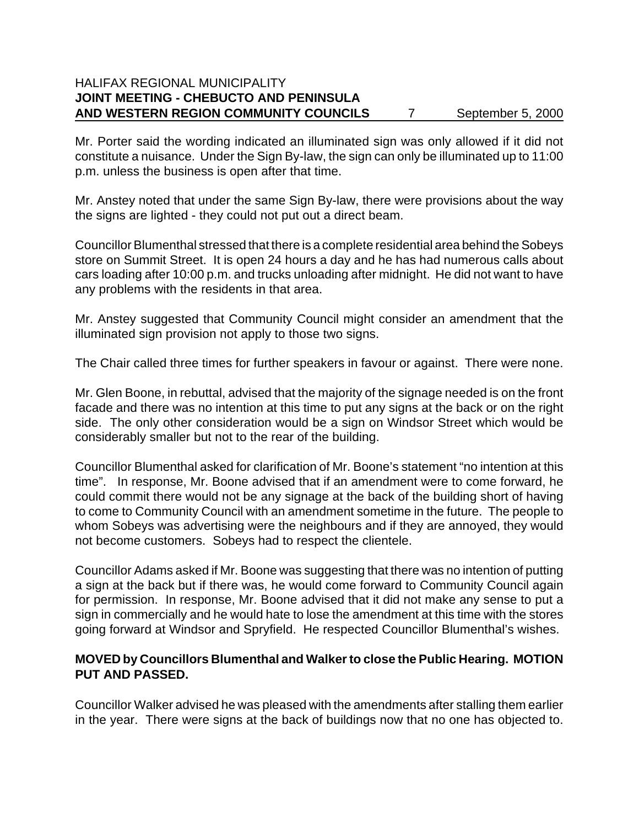### HALIFAX REGIONAL MUNICIPALITY **JOINT MEETING - CHEBUCTO AND PENINSULA** AND WESTERN REGION COMMUNITY COUNCILS 7 September 5, 2000

Mr. Porter said the wording indicated an illuminated sign was only allowed if it did not constitute a nuisance. Under the Sign By-law, the sign can only be illuminated up to 11:00 p.m. unless the business is open after that time.

Mr. Anstey noted that under the same Sign By-law, there were provisions about the way the signs are lighted - they could not put out a direct beam.

Councillor Blumenthal stressed that there is a complete residential area behind the Sobeys store on Summit Street. It is open 24 hours a day and he has had numerous calls about cars loading after 10:00 p.m. and trucks unloading after midnight. He did not want to have any problems with the residents in that area.

Mr. Anstey suggested that Community Council might consider an amendment that the illuminated sign provision not apply to those two signs.

The Chair called three times for further speakers in favour or against. There were none.

Mr. Glen Boone, in rebuttal, advised that the majority of the signage needed is on the front facade and there was no intention at this time to put any signs at the back or on the right side. The only other consideration would be a sign on Windsor Street which would be considerably smaller but not to the rear of the building.

Councillor Blumenthal asked for clarification of Mr. Boone's statement "no intention at this time". In response, Mr. Boone advised that if an amendment were to come forward, he could commit there would not be any signage at the back of the building short of having to come to Community Council with an amendment sometime in the future. The people to whom Sobeys was advertising were the neighbours and if they are annoyed, they would not become customers. Sobeys had to respect the clientele.

Councillor Adams asked if Mr. Boone was suggesting that there was no intention of putting a sign at the back but if there was, he would come forward to Community Council again for permission. In response, Mr. Boone advised that it did not make any sense to put a sign in commercially and he would hate to lose the amendment at this time with the stores going forward at Windsor and Spryfield. He respected Councillor Blumenthal's wishes.

# **MOVED by Councillors Blumenthal and Walker to close the Public Hearing. MOTION PUT AND PASSED.**

Councillor Walker advised he was pleased with the amendments after stalling them earlier in the year. There were signs at the back of buildings now that no one has objected to.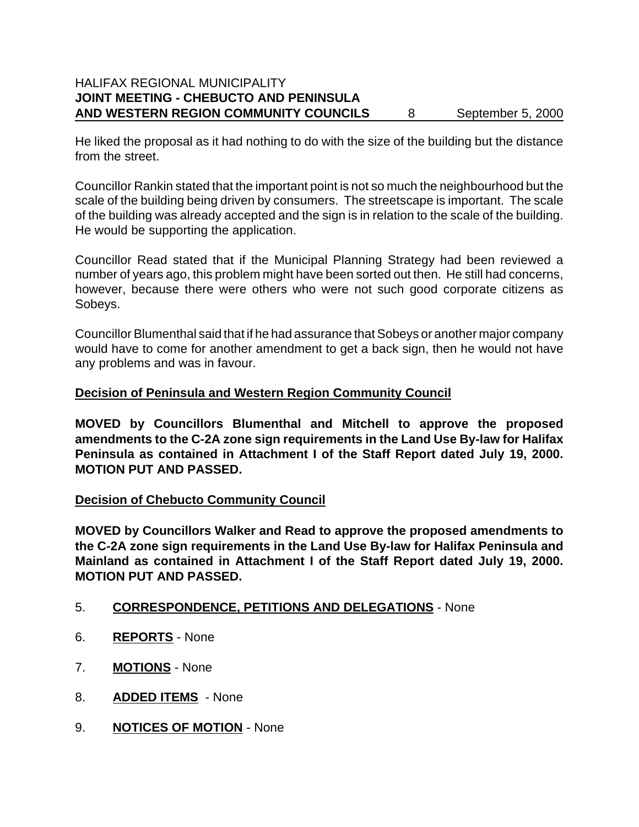He liked the proposal as it had nothing to do with the size of the building but the distance from the street.

Councillor Rankin stated that the important point is not so much the neighbourhood but the scale of the building being driven by consumers. The streetscape is important. The scale of the building was already accepted and the sign is in relation to the scale of the building. He would be supporting the application.

Councillor Read stated that if the Municipal Planning Strategy had been reviewed a number of years ago, this problem might have been sorted out then. He still had concerns, however, because there were others who were not such good corporate citizens as Sobeys.

Councillor Blumenthal said that if he had assurance that Sobeys or another major company would have to come for another amendment to get a back sign, then he would not have any problems and was in favour.

# **Decision of Peninsula and Western Region Community Council**

**MOVED by Councillors Blumenthal and Mitchell to approve the proposed amendments to the C-2A zone sign requirements in the Land Use By-law for Halifax Peninsula as contained in Attachment I of the Staff Report dated July 19, 2000. MOTION PUT AND PASSED.**

### **Decision of Chebucto Community Council**

**MOVED by Councillors Walker and Read to approve the proposed amendments to the C-2A zone sign requirements in the Land Use By-law for Halifax Peninsula and Mainland as contained in Attachment I of the Staff Report dated July 19, 2000. MOTION PUT AND PASSED.**

### 5. **CORRESPONDENCE, PETITIONS AND DELEGATIONS** - None

- 6. **REPORTS** None
- 7. **MOTIONS** None
- 8. **ADDED ITEMS** None
- 9. **NOTICES OF MOTION** None